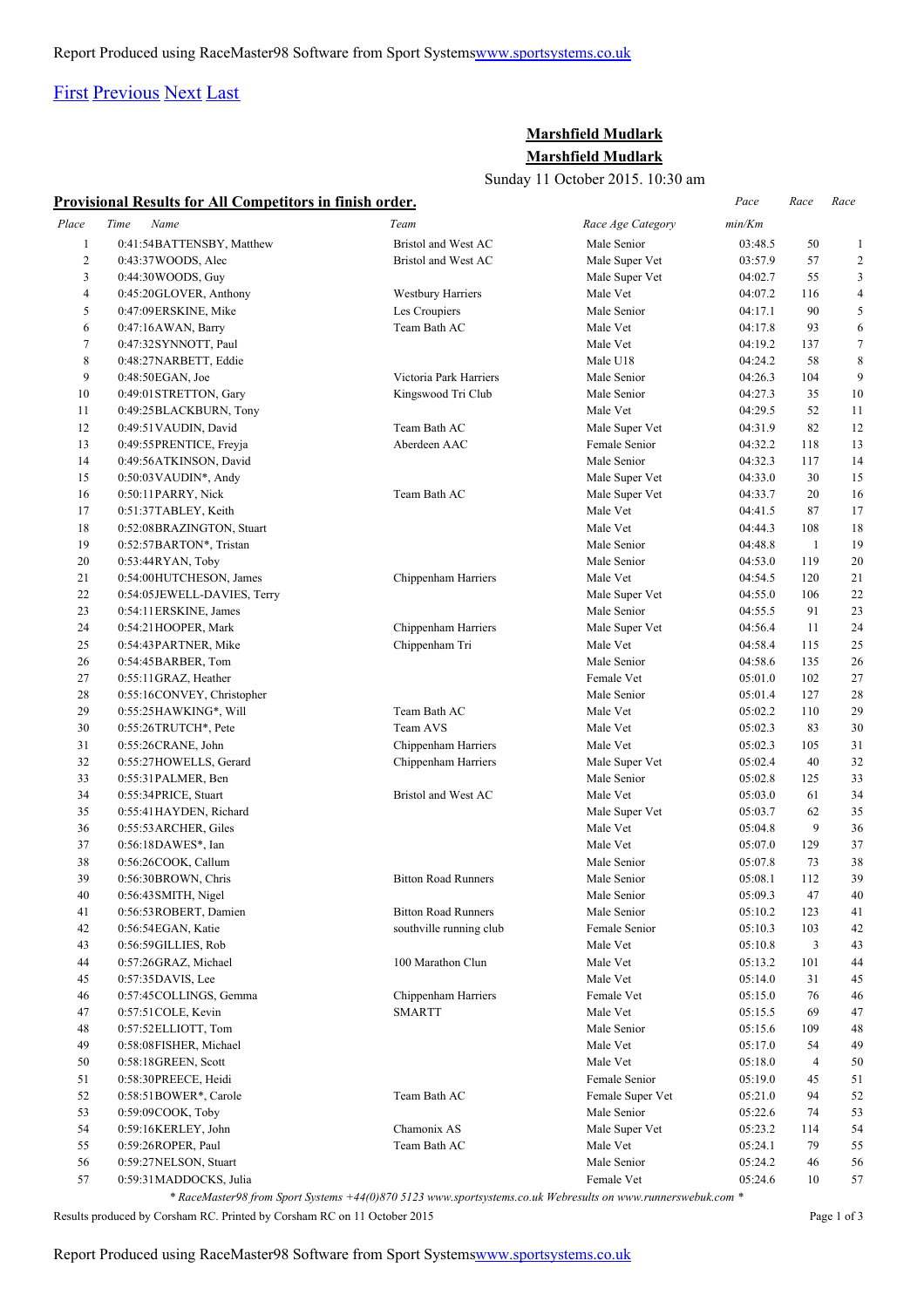# [First](http://www.corshamrunningclub.co.uk/Mudlark/Results/2015/Marshfield Mudlark 2015.html#) [Previous](http://www.corshamrunningclub.co.uk/Mudlark/Results/2015/Marshfield Mudlark 2015.html#) [Next](http://www.corshamrunningclub.co.uk/Mudlark/Results/2015/Marshfield Mudlark 2015Page2.html) [Last](http://www.corshamrunningclub.co.uk/Mudlark/Results/2015/Marshfield Mudlark 2015Page3.html)

## **Marshfield Mudlark Marshfield Mudlark**

Sunday 11 October 2015. 10:30 am

| Provisional Results for All Competitors in finish order. |
|----------------------------------------------------------|
|----------------------------------------------------------|

|              | Provisional Results for All Competitors in finish order.           |                                                         |                         | Pace               | Race           | Race           |
|--------------|--------------------------------------------------------------------|---------------------------------------------------------|-------------------------|--------------------|----------------|----------------|
| Place        | Time<br>Name                                                       | Team                                                    | Race Age Category       | min/Km             |                |                |
| $\mathbf{1}$ | 0:41:54BATTENSBY, Matthew                                          | Bristol and West AC                                     | Male Senior             | 03:48.5            | 50             | $\mathbf{1}$   |
| $\sqrt{2}$   | 0:43:37 WOODS, Alec                                                | Bristol and West AC                                     | Male Super Vet          | 03:57.9            | 57             | $\overline{c}$ |
| 3            | 0:44:30 WOODS, Guy                                                 |                                                         | Male Super Vet          | 04:02.7            | 55             | 3              |
| 4            | 0:45:20GLOVER, Anthony                                             | <b>Westbury Harriers</b>                                | Male Vet                | 04:07.2            | 116            | $\overline{4}$ |
| 5            | 0:47:09ERSKINE, Mike                                               | Les Croupiers                                           | Male Senior             | 04:17.1            | 90             | 5              |
| 6            | 0:47:16AWAN, Barry                                                 | Team Bath AC                                            | Male Vet                | 04:17.8            | 93             | 6              |
| 7            | 0:47:32SYNNOTT, Paul                                               |                                                         | Male Vet                | 04:19.2            | 137            | $\tau$         |
| 8            | 0:48:27NARBETT, Eddie                                              |                                                         | Male U18                | 04:24.2            | 58             | 8              |
| 9            | $0:48:50EGAN$ , Joe                                                | Victoria Park Harriers                                  | Male Senior             | 04:26.3            | 104            | 9              |
| 10           | 0:49:01 STRETTON, Gary                                             | Kingswood Tri Club                                      | Male Senior             | 04:27.3            | 35             | 10             |
| 11           | 0:49:25BLACKBURN, Tony                                             |                                                         | Male Vet                | 04:29.5            | 52             | 11             |
| 12           | 0:49:51 VAUDIN, David                                              | Team Bath AC                                            | Male Super Vet          | 04:31.9            | 82             | 12             |
| 13           | 0:49:55PRENTICE, Freyja                                            | Aberdeen AAC                                            | Female Senior           | 04:32.2            | 118            | 13             |
| 14           | 0:49:56ATKINSON, David                                             |                                                         | Male Senior             | 04:32.3            | 117            | 14             |
| 15           | $0:50:03$ VAUDIN <sup>*</sup> , Andy                               |                                                         | Male Super Vet          | 04:33.0            | 30             | 15             |
| 16           | 0:50:11PARRY, Nick                                                 | Team Bath AC                                            | Male Super Vet          | 04:33.7            | 20             | 16             |
| 17           | 0:51:37TABLEY, Keith                                               |                                                         | Male Vet                | 04:41.5            | 87             | 17             |
| 18           | 0:52:08BRAZINGTON, Stuart                                          |                                                         | Male Vet                | 04:44.3            | 108            | 18             |
| 19           | 0:52:57BARTON*, Tristan                                            |                                                         | Male Senior             | 04:48.8            | $\mathbf{1}$   | 19             |
| 20           | 0:53:44RYAN, Toby                                                  |                                                         | Male Senior             | 04:53.0            | 119            | 20             |
| 21           | 0:54:00HUTCHESON, James                                            | Chippenham Harriers                                     | Male Vet                | 04:54.5            | 120            | 21             |
| 22           | 0:54:05JEWELL-DAVIES, Terry                                        |                                                         | Male Super Vet          | 04:55.0            | 106            | 22             |
| 23           | 0:54:11 ERSKINE, James                                             |                                                         | Male Senior             | 04:55.5            | 91             | 23             |
| 24           | 0:54:21HOOPER, Mark                                                | Chippenham Harriers                                     | Male Super Vet          | 04:56.4            | 11             | 24             |
| 25           | 0:54:43 PARTNER, Mike                                              | Chippenham Tri                                          | Male Vet                | 04:58.4            | 115            | 25             |
| 26           | 0:54:45BARBER, Tom                                                 |                                                         | Male Senior             | 04:58.6            | 135            | 26             |
| 27           | 0:55:11 GRAZ, Heather                                              |                                                         | Female Vet              | 05:01.0            | 102            | 27             |
| 28           | 0:55:16CONVEY, Christopher                                         |                                                         | Male Senior             | 05:01.4            | 127            | 28             |
| 29           | 0:55:25HAWKING*, Will                                              | Team Bath AC                                            | Male Vet                | 05:02.2            | 110            | 29             |
| 30           | 0:55:26TRUTCH*, Pete                                               | Team AVS                                                | Male Vet                | 05:02.3            | 83             | 30             |
| 31           | 0:55:26CRANE, John                                                 | Chippenham Harriers                                     | Male Vet                | 05:02.3            | 105            | 31             |
| 32           | 0:55:27HOWELLS, Gerard                                             | Chippenham Harriers                                     | Male Super Vet          | 05:02.4            | 40             | 32             |
| 33           | 0:55:31PALMER, Ben                                                 |                                                         | Male Senior             | 05:02.8            | 125            | 33             |
| 34           | 0:55:34PRICE, Stuart                                               | Bristol and West AC                                     | Male Vet                | 05:03.0            | 61             | 34             |
| 35           | 0:55:41 HAYDEN, Richard                                            |                                                         | Male Super Vet          | 05:03.7            | 62             | 35             |
| 36           | 0:55:53 ARCHER, Giles                                              |                                                         | Male Vet                | 05:04.8            | 9              | 36             |
| 37           | 0:56:18DAWES*, Ian                                                 |                                                         | Male Vet                | 05:07.0            | 129            | 37             |
| 38           | 0:56:26COOK, Callum                                                |                                                         | Male Senior             | 05:07.8            | 73             | 38             |
| 39           | 0:56:30BROWN, Chris                                                | <b>Bitton Road Runners</b>                              | Male Senior             | 05:08.1            | 112            | 39             |
| 40           | 0:56:43 SMITH, Nigel                                               |                                                         | Male Senior             | 05:09.3            | 47             | 40             |
| 41           | 0:56:53ROBERT, Damien                                              | <b>Bitton Road Runners</b>                              | Male Senior             | 05:10.2            | 123            | 41             |
| 42           | 0:56:54EGAN, Katie                                                 | southville running club                                 | Female Senior           | 05:10.3            | 103            | 42             |
| 43           | 0:56:59GILLIES, Rob                                                |                                                         | Male Vet                | 05:10.8            | 3              | 43             |
| 44           | 0:57:26GRAZ, Michael                                               | 100 Marathon Clun                                       | Male Vet                | 05:13.2            | 101            | 44             |
| 45           | 0:57:35DAVIS, Lee                                                  |                                                         | Male Vet                | 05:14.0            | 31             | 45             |
| 46           | 0:57:45 COLLINGS, Gemma                                            | Chippenham Harriers                                     | Female Vet              | 05:15.0            | 76             | 46             |
| 47           | 0:57:51 COLE, Kevin                                                | SMARTT                                                  | Male Vet                | 05:15.5            | 69             | 47             |
| 48           | 0:57:52ELLIOTT, Tom                                                |                                                         | Male Senior             | 05:15.6            | 109            | 48             |
| 49           | 0:58:08FISHER, Michael                                             |                                                         | Male Vet                | 05:17.0            | 54             | 49             |
| 50           | 0:58:18GREEN, Scott                                                |                                                         | Male Vet                | 05:18.0            | $\overline{4}$ | 50             |
| 51           | 0:58:30PREECE, Heidi                                               |                                                         | Female Senior           | 05:19.0            | 45             | 51             |
| 52           | 0:58:51BOWER*, Carole                                              | Team Bath AC                                            | Female Super Vet        | 05:21.0            | 94             | 52             |
| 53           | 0:59:09COOK, Toby                                                  |                                                         | Male Senior             | 05:22.6            | 74             | 53             |
| 54           | 0:59:16KERLEY, John                                                | Chamonix AS                                             | Male Super Vet          | 05:23.2            |                |                |
| 55           |                                                                    | Team Bath AC                                            |                         |                    | 114            | 54             |
| 56           | 0:59:26ROPER, Paul                                                 |                                                         | Male Vet<br>Male Senior | 05:24.1<br>05:24.2 | 79<br>46       | 55             |
|              | 0:59:27NELSON, Stuart                                              |                                                         |                         |                    |                | 56             |
| 57           | 0:59:31MADDOCKS, Julia<br>$*$ $D = -1$ <i>i</i> $f = -1$ .<br>.09L | $C_{\text{total}} C_{\text{total}} = 1.44(0) 0.70.5132$ | Female Vet<br>$L$ $W-L$ | 05:24.6            | 10             | 57             |

*\* RaceMaster98 from Sport Systems +44(0)870 5123 www.sportsystems.co.uk Webresults on www.runnerswebuk.com \**

Results produced by Corsham RC. Printed by Corsham RC on 11 October 2015 Page 1 of 3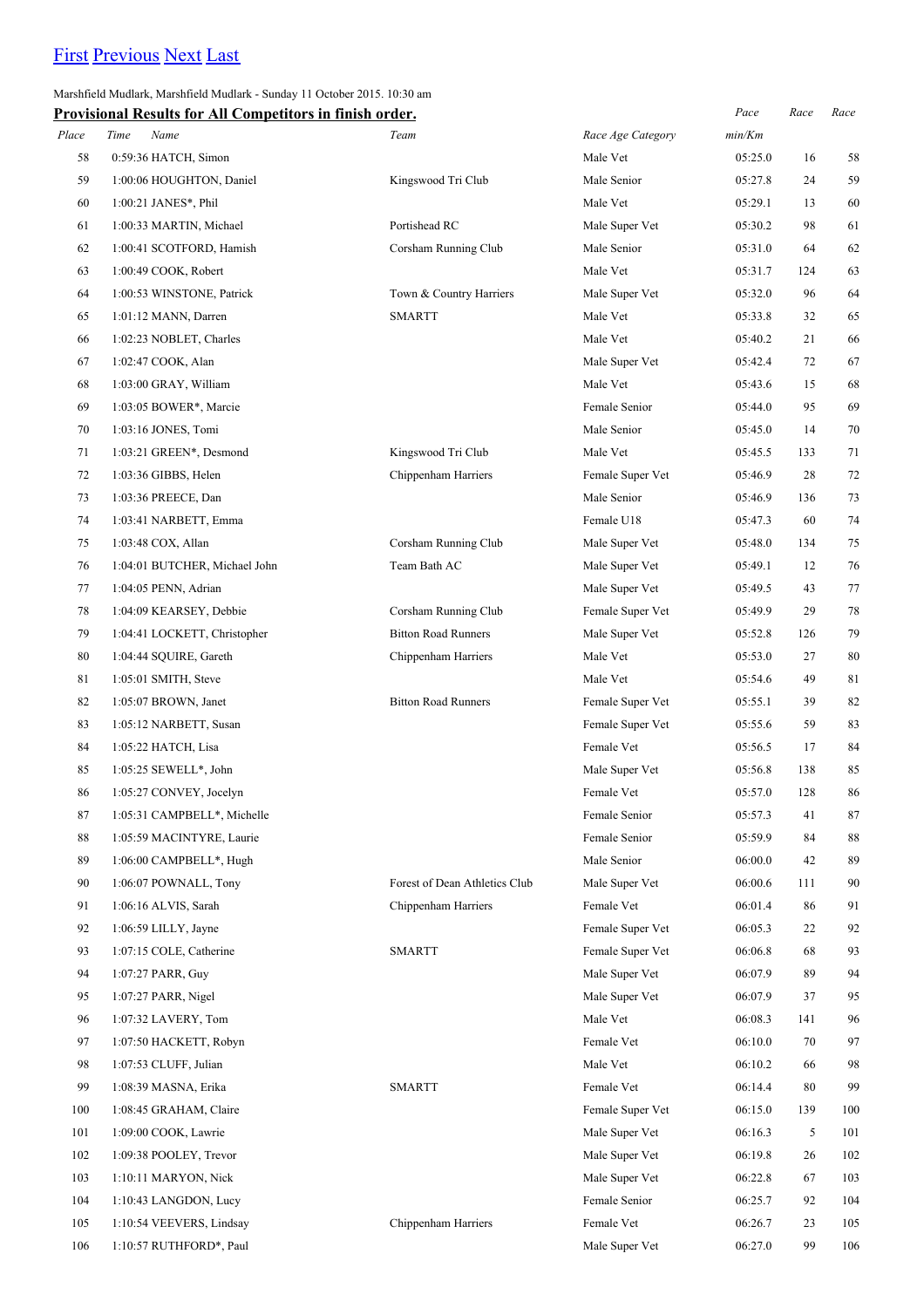# [First](http://www.corshamrunningclub.co.uk/Mudlark/Results/2015/Marshfield Mudlark 2015.html) [Previous](http://www.corshamrunningclub.co.uk/Mudlark/Results/2015/Marshfield Mudlark 2015.html) [Next](http://www.corshamrunningclub.co.uk/Mudlark/Results/2015/Marshfield Mudlark 2015Page3.html) [Last](http://www.corshamrunningclub.co.uk/Mudlark/Results/2015/Marshfield Mudlark 2015Page3.html)

Marshfield Mudlark, Marshfield Mudlark - Sunday 11 October 2015. 10:30 am

|       | <b>Provisional Results for All Competitors in finish order.</b> |                               |                   | Pace    | Race | Race |
|-------|-----------------------------------------------------------------|-------------------------------|-------------------|---------|------|------|
| Place | Time<br>Name                                                    | Team                          | Race Age Category | min/Km  |      |      |
| 58    | 0:59:36 HATCH, Simon                                            |                               | Male Vet          | 05:25.0 | 16   | 58   |
| 59    | 1:00:06 HOUGHTON, Daniel                                        | Kingswood Tri Club            | Male Senior       | 05:27.8 | 24   | 59   |
| 60    | $1:00:21$ JANES*, Phil                                          |                               | Male Vet          | 05:29.1 | 13   | 60   |
| 61    | 1:00:33 MARTIN, Michael                                         | Portishead RC                 | Male Super Vet    | 05:30.2 | 98   | 61   |
| 62    | 1:00:41 SCOTFORD, Hamish                                        | Corsham Running Club          | Male Senior       | 05:31.0 | 64   | 62   |
| 63    | 1:00:49 COOK, Robert                                            |                               | Male Vet          | 05:31.7 | 124  | 63   |
| 64    | 1:00:53 WINSTONE, Patrick                                       | Town & Country Harriers       | Male Super Vet    | 05:32.0 | 96   | 64   |
| 65    | 1:01:12 MANN, Darren                                            | <b>SMARTT</b>                 | Male Vet          | 05:33.8 | 32   | 65   |
| 66    | 1:02:23 NOBLET, Charles                                         |                               | Male Vet          | 05:40.2 | 21   | 66   |
| 67    | 1:02:47 COOK, Alan                                              |                               | Male Super Vet    | 05:42.4 | 72   | 67   |
| 68    | 1:03:00 GRAY, William                                           |                               | Male Vet          | 05:43.6 | 15   | 68   |
| 69    | 1:03:05 BOWER*, Marcie                                          |                               | Female Senior     | 05:44.0 | 95   | 69   |
| 70    | 1:03:16 JONES, Tomi                                             |                               | Male Senior       | 05:45.0 | 14   | 70   |
| 71    | 1:03:21 GREEN*, Desmond                                         | Kingswood Tri Club            | Male Vet          | 05:45.5 | 133  | 71   |
| 72    | 1:03:36 GIBBS, Helen                                            | Chippenham Harriers           | Female Super Vet  | 05:46.9 | 28   | 72   |
| 73    | 1:03:36 PREECE, Dan                                             |                               | Male Senior       | 05:46.9 | 136  | 73   |
| 74    | 1:03:41 NARBETT, Emma                                           |                               | Female U18        | 05:47.3 | 60   | 74   |
| 75    | 1:03:48 COX, Allan                                              | Corsham Running Club          | Male Super Vet    | 05:48.0 | 134  | 75   |
| 76    | 1:04:01 BUTCHER, Michael John                                   | Team Bath AC                  | Male Super Vet    | 05:49.1 | 12   | 76   |
| 77    | 1:04:05 PENN, Adrian                                            |                               | Male Super Vet    | 05:49.5 | 43   | 77   |
| 78    | 1:04:09 KEARSEY, Debbie                                         | Corsham Running Club          | Female Super Vet  | 05:49.9 | 29   | 78   |
| 79    | 1:04:41 LOCKETT, Christopher                                    | <b>Bitton Road Runners</b>    | Male Super Vet    | 05:52.8 | 126  | 79   |
| 80    | 1:04:44 SQUIRE, Gareth                                          | Chippenham Harriers           | Male Vet          | 05:53.0 | 27   | 80   |
| 81    | 1:05:01 SMITH, Steve                                            |                               | Male Vet          | 05:54.6 | 49   | 81   |
| 82    | 1:05:07 BROWN, Janet                                            | <b>Bitton Road Runners</b>    | Female Super Vet  | 05:55.1 | 39   | 82   |
| 83    | 1:05:12 NARBETT, Susan                                          |                               | Female Super Vet  | 05:55.6 | 59   | 83   |
| 84    | 1:05:22 HATCH, Lisa                                             |                               | Female Vet        | 05:56.5 | 17   | 84   |
| 85    | 1:05:25 SEWELL*, John                                           |                               | Male Super Vet    | 05:56.8 | 138  | 85   |
| 86    | 1:05:27 CONVEY, Jocelyn                                         |                               | Female Vet        | 05:57.0 | 128  | 86   |
| 87    | 1:05:31 CAMPBELL*, Michelle                                     |                               | Female Senior     | 05:57.3 | 41   | 87   |
| 88    | 1:05:59 MACINTYRE, Laurie                                       |                               | Female Senior     | 05:59.9 | 84   | 88   |
| 89    | 1:06:00 CAMPBELL*, Hugh                                         |                               | Male Senior       | 06:00.0 | 42   | 89   |
| 90    | 1:06:07 POWNALL, Tony                                           | Forest of Dean Athletics Club | Male Super Vet    | 06:00.6 | 111  | 90   |
| 91    | 1:06:16 ALVIS, Sarah                                            | Chippenham Harriers           | Female Vet        | 06:01.4 | 86   | 91   |
| 92    | 1:06:59 LILLY, Jayne                                            |                               | Female Super Vet  | 06:05.3 | 22   | 92   |
| 93    | 1:07:15 COLE, Catherine                                         | <b>SMARTT</b>                 | Female Super Vet  | 06:06.8 | 68   | 93   |
| 94    | 1:07:27 PARR, Guy                                               |                               | Male Super Vet    | 06:07.9 | 89   | 94   |
| 95    | 1:07:27 PARR, Nigel                                             |                               | Male Super Vet    | 06:07.9 | 37   | 95   |
| 96    | 1:07:32 LAVERY, Tom                                             |                               | Male Vet          | 06:08.3 | 141  | 96   |
| 97    | 1:07:50 HACKETT, Robyn                                          |                               | Female Vet        | 06:10.0 | 70   | 97   |
| 98    | 1:07:53 CLUFF, Julian                                           |                               | Male Vet          | 06:10.2 | 66   | 98   |
| 99    | 1:08:39 MASNA, Erika                                            | <b>SMARTT</b>                 | Female Vet        | 06:14.4 | 80   | 99   |
| 100   | 1:08:45 GRAHAM, Claire                                          |                               | Female Super Vet  | 06:15.0 | 139  | 100  |
| 101   | 1:09:00 COOK, Lawrie                                            |                               | Male Super Vet    | 06:16.3 | 5    | 101  |
| 102   | 1:09:38 POOLEY, Trevor                                          |                               | Male Super Vet    | 06:19.8 | 26   | 102  |
| 103   | 1:10:11 MARYON, Nick                                            |                               | Male Super Vet    | 06:22.8 | 67   | 103  |
| 104   | 1:10:43 LANGDON, Lucy                                           |                               | Female Senior     | 06:25.7 | 92   | 104  |
| 105   | 1:10:54 VEEVERS, Lindsay                                        | Chippenham Harriers           | Female Vet        | 06:26.7 | 23   | 105  |
|       | 1:10:57 RUTHFORD*, Paul                                         |                               | Male Super Vet    | 06:27.0 | 99   |      |
| 106   |                                                                 |                               |                   |         |      | 106  |